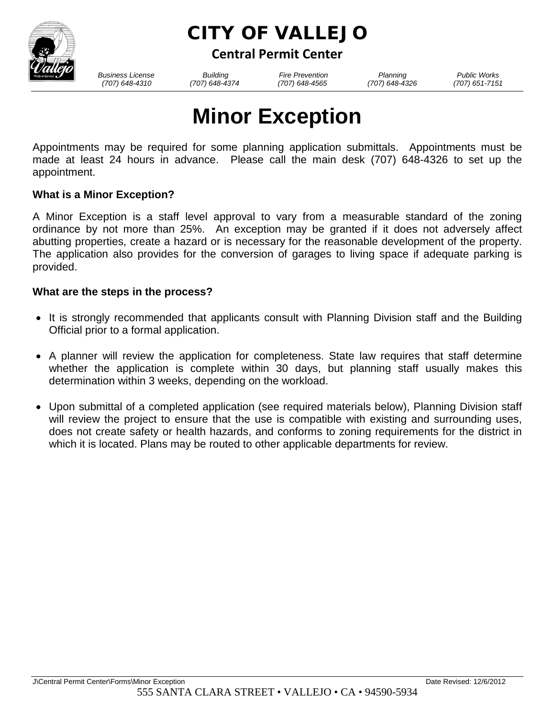

# CITY OF VALLEJO

**Central Permit Center**

*Business License Building Fire Prevention Planning Public Works*

 *(707) 648-4310 (707) 648-4374 (707) 648-4565 (707) 648-4326 (707) 651-7151*

# **Minor Exception**

Appointments may be required for some planning application submittals. Appointments must be made at least 24 hours in advance. Please call the main desk (707) 648-4326 to set up the appointment.

## **What is a Minor Exception?**

A Minor Exception is a staff level approval to vary from a measurable standard of the zoning ordinance by not more than 25%. An exception may be granted if it does not adversely affect abutting properties, create a hazard or is necessary for the reasonable development of the property. The application also provides for the conversion of garages to living space if adequate parking is provided.

### **What are the steps in the process?**

- It is strongly recommended that applicants consult with Planning Division staff and the Building Official prior to a formal application.
- A planner will review the application for completeness. State law requires that staff determine whether the application is complete within 30 days, but planning staff usually makes this determination within 3 weeks, depending on the workload.
- Upon submittal of a completed application (see required materials below), Planning Division staff will review the project to ensure that the use is compatible with existing and surrounding uses, does not create safety or health hazards, and conforms to zoning requirements for the district in which it is located. Plans may be routed to other applicable departments for review.